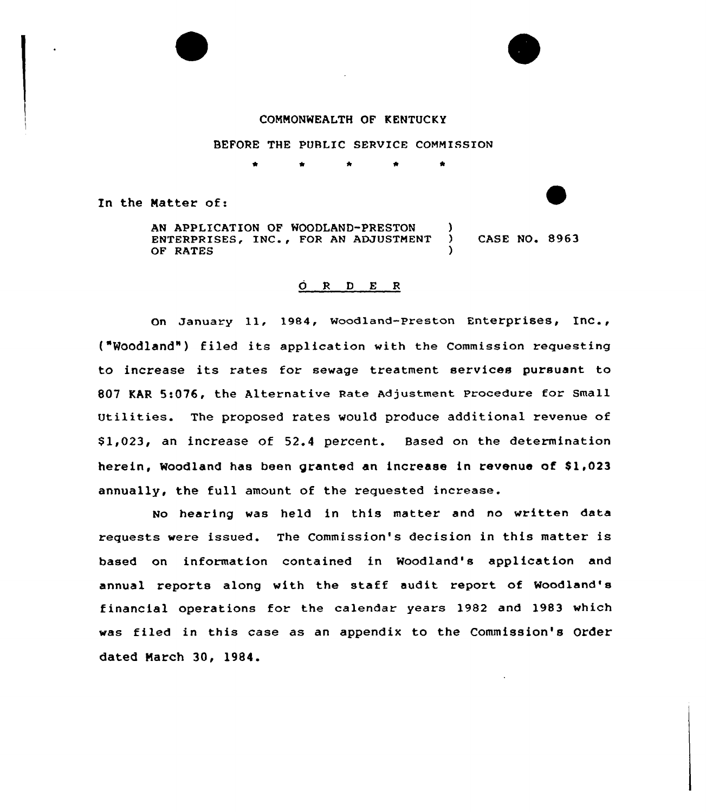### COMMONWEALTH OF KENTUCKY

#### BEFORE THE PUBLIC SERVICE COMMISSION

In the Natter of:

AN APPLICATION OF WOODLAND-PRESTON ENTERPRISES, INC., FOR AN ADJUSTMENT ) CASE NO. 8963 OF RATES

# $\overrightarrow{O}$  R  $D$  E R

On January 11, 1984, Woodland-Preston Enterprises, Inc., t"Woodland") filed its application with the Commission requesting to increase its rates for sewage treatment services pursuant to 807 KAR 5:076, the Alternative Rate Adjustment Procedure for Small Utilities. The proposed rates would produce additional revenue of \$ 1,023, an increase of 52.4 percent. Based on the determination herein, Woodland has been granted an increase in revenue of \$1,023 annually, the full amount of the requested increase.

No hearing was held in this matter and no written data requests were issued. The Commission's decision in this matter is based on information contained in Woodland's application and annual reports along with the staff audit report of Woodland's financial operations for the ca1endar years 1982 and 1983 which was filed in this case as an appendix to the Commission's Order dated Narch 30, 1984.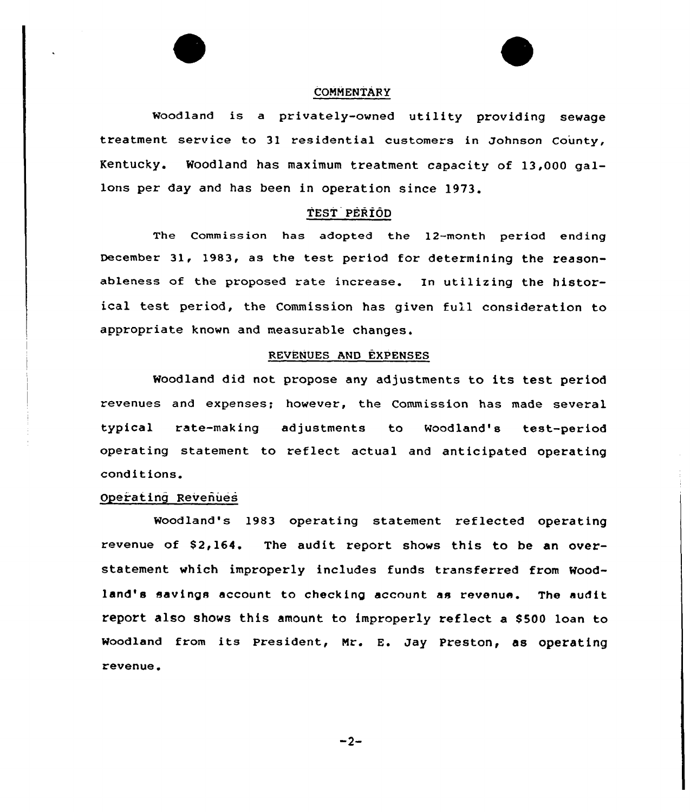# **COMMENTARY**

woodland is <sup>a</sup> privately-owned utility providing sewage treatment service to 31 residential customers in Johnson County, Kentucky. Woodland has maximum treatment capacity of 13,000 gallons per day and has been in operation since 1973.

#### TEST PERIOD

The Commission has adopted the 12-month period ending December 31, 1983, as the test period for determining the reasonableness of the proposed rate increase. In utilizing the historical test period, the Commission has given full consideration to appropriate known and measurable changes.

#### REVENUES AND EXPENSES

Woodland did not propose any adjustments to its test period revenues and expenses; however, the Commission has made several typical rate-making adjustments to Woodland's test-period operating statement to reflect actual and anticipated operating conditions.

# Operating Revenues

Woodland's 1983 operating statement reflected operating revenue of  $$2,164$ . The audit report shows this to be an overstatement which improperly includes funds transferred from Woodland's savings account to checking account as revenue. The audit report also shows this amount to improperly reflect a \$500 loan to woodland from its president, Mr. E. Jay preston, as operating revenue.

 $-2-$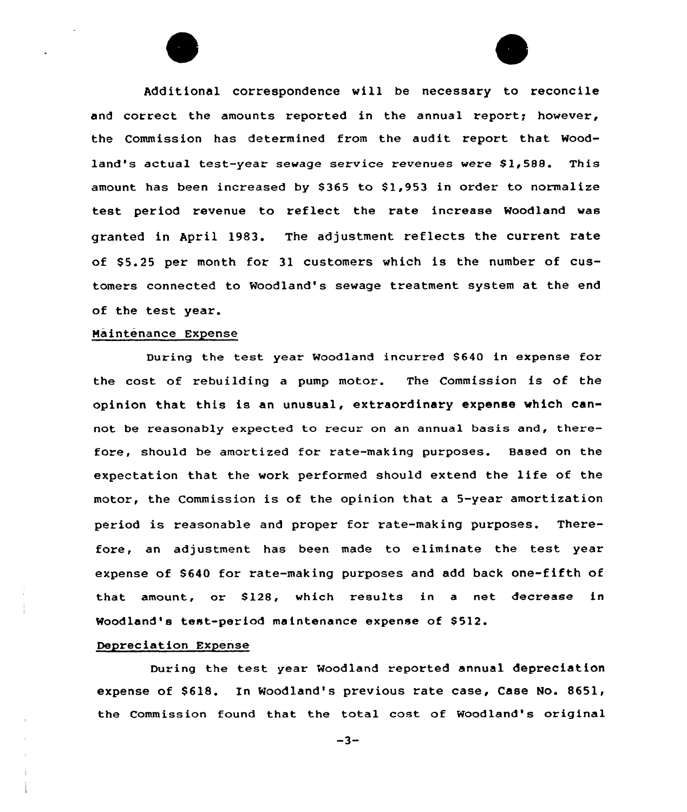Additional correspondence will be necessary to reconcile and correct the amounts reported in the annual report; however, the Commission has determined from the audit report that Woodland's actual test-year sewage service revenues were \$1,588. This amount has been increased by \$365 to \$1,953 in order to normalize test period revenue to reflect the rate increase Woodland was granted in April 1983. The adjustment reflects the current rate of \$5.25 per month for 31 customers which is the number of customers connected to Woodland's sewage treatment system at the end of the test year.

#### Maintenance Expense

During the test year Woodland incurred \$640 in expense for the cost of rebuilding a pump motor. The Commission is of the opinion that this is an unusual, extraordinary expense which cannot be reasonably expected to recur on an annual basis and, therefore, should be amortized for rate-making purposes. Based on the expectation that the work performed should extend the life of the motor, the Commission is of the opinion that a 5-year amortization period is reasonable and proper for rate-making purposes. Therefore, an adjustment has been made to eliminate the test year expense of \$640 for rate-making purposes and add back one-fifth of that amount, or \$128, which results in a net decrease in Woodland's test-period maintenance expense of \$512.

# Depreciation Expense

During the test year woodland reported annual depreciation expense of \$618. In Woodland's previous rate case, Case No. 8651, the Commission found that the total cost of Woodland's original

 $-3-$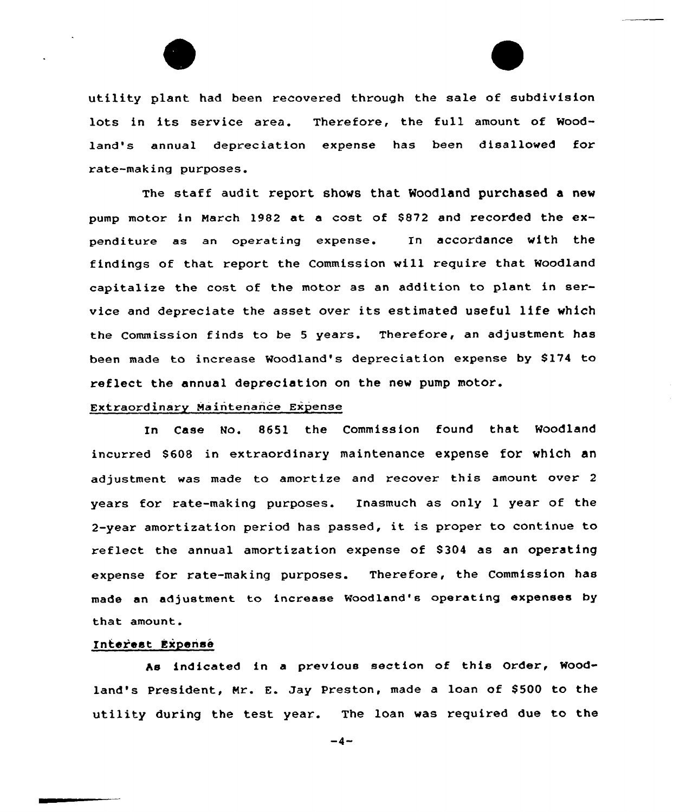

utility plant had been recovered through the sale of subdivision lots in its service area. Therefore, the full amount of Woodland's annual depreciation expense has been disallowed for rate-making purposes.

The staff audit report shows that Woodland purchased a new pump motor in March 1982 at a cost of \$872 and recorded the expenditure as an operating expense. In accordance with the findings of that report the Commission vill require that Woodland capitalize the cost of the motor as an addition to plant in service and depreciate the asset over its estimated useful life which the Commission finds to be <sup>5</sup> years. Therefore, an adjustment has been made to increase Woodland's depreciation expense by S174 to reflect the annual depreciation on the nev pump motor.

## Extraordinary Maintenance Expense

In Case Mo. 8651 the Commission found that Woodland incurred 8608 in extraordinary maintenance expense for which an adjustment vas made to amortize and recover this amount over <sup>2</sup> years for rate-making purposes. Inasmuch as only <sup>1</sup> year of the 2-year amortization period has passed, it is proper to continue to reflect the annual amortization expense of S304 as an operating expense for rate-making purposes. Therefore, the Commission has made an adjustment to increase Woodland's operating expenses by that amount.

### Interest Expense

As indicated in a previous section of this Order, Woodland's President, Mr. E. Jay Preston, made a loan of \$500 to the utility during the test year. The loan was required due to the

 $-4-$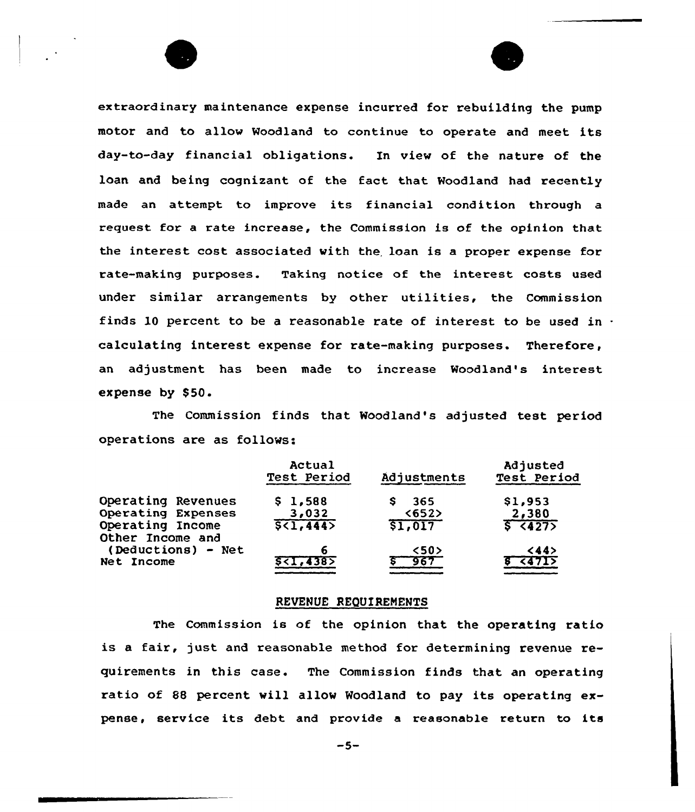extraordinary maintenance expense incurred for rebuilding the pump motor and to allow Woodland to continue to operate and meet its day-to-day financial obligations. In view of the nature of the loan and being cognizant of the fact that Woodland had recently made an attempt to improve its financial condition through <sup>a</sup> request for a rate increase, the Commission is of the opinion that the interest cost associated with the. loan is a proper expense for rate-making purposes. Taking notice of the interest costs used under similar arrangements by other utilities, the Commission finds 10 percent to be a reasonable rate of interest to be used in  $\cdot$ calculating interest expense for rate-making purposes. Therefore, an adjustment has been made to increase Woodland's interest expense by \$50.

The Commission finds that Woodland's adjusted test period operations are as follows:

|                                      | Actual<br>Test Period                 | Adjustments            | Adjusted<br>Test Period |
|--------------------------------------|---------------------------------------|------------------------|-------------------------|
| Operating Revenues                   | \$1,588                               | 365<br>s               | \$1,953                 |
| Operating Expenses                   | 3,032                                 | $652$                  | 2,380                   |
| Operating Income<br>Other Income and | 5(1, 444)                             | \$1,017                | 5 14275                 |
| (Deductions) - Net<br>Net Income     | 6<br><b>S<i,4385< b=""></i,4385<></b> | 50 <sub>2</sub><br>967 | $<$ 44><br>हा दबनाउ     |

### REVENUE REQUIREMENTS

The Commission is of the opinion that the operating ratio is a fair, just and reasonable method for determining revenue requirements in this case. The Commission finds that an operating ratio of 88 percent will allov Woodland to pay its operating expense, service its debt and provide a reasonable return to its

 $-5-$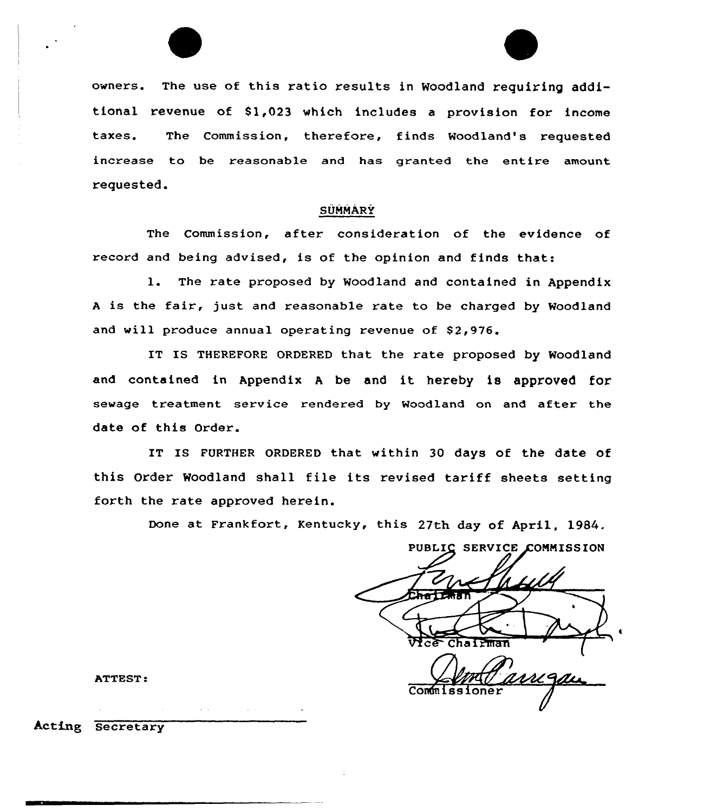



owners. The use of this ratio results in Woodland requiring additional revenue of Sl,023 which includes a provision for income taxes. The Commission, therefore, finds Woodland's requested increase to be reasonable and has granted the entire amount requested.

# SUMMARY

The Commission, after consideration of the evidence of record and being advised, is of the opinion and finds that:

l. The rate proposed by Woodland and contained in Appendix <sup>A</sup> is the fair, just and reasonable rate to be charged by Woodland and will produce annual operating revenue of 82,976.

IT IS THEREFORE ORDERED that the rate proposed by Woodland and contained in Appendix <sup>A</sup> be and it hereby is approved for sewage treatment service rendered by Woodland on and after the date of this Order.

IT IS FURTHER ORDERED that within 30 days of the date of this Order Woodland shall file its revised tariff sheets setting forth the rate approved herein.

Done at Frankfort, Kentucky, this 27th day of April, 1984.

PUBLIC SERVICE COMMISSION Chairman ( amgan Commissi

ATTEST:

Acting Secretary